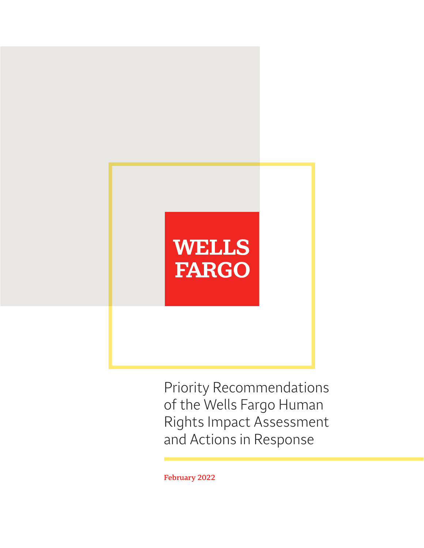# **WELLS FARGO**

Priority Recommendations of the Wells Fargo Human Rights Impact Assessment and Actions in Response

**February 2022**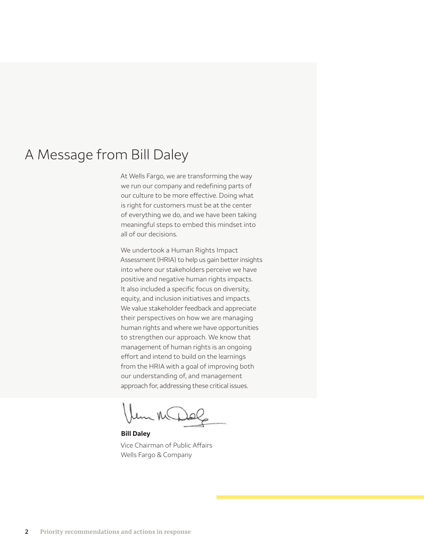# A Message from Bill Daley

At Wells Fargo, we are transforming the way we run our company and redefining parts of our culture to be more effective. Doing what is right for customers must be at the center of everything we do, and we have been taking meaningful steps to embed this mindset into all of our decisions.

 approach for, addressing these critical issues. We undertook a Human Rights Impact Assessment (HRIA) to help us gain better insights into where our stakeholders perceive we have positive and negative human rights impacts. It also included a specific focus on diversity, equity, and inclusion initiatives and impacts. We value stakeholder feedback and appreciate their perspectives on how we are managing human rights and where we have opportunities to strengthen our approach. We know that management of human rights is an ongoing effort and intend to build on the learnings from the HRIA with a goal of improving both our understanding of, and management

un MDOR

**Bill Daley**  Vice Chairman of Public Affairs Wells Fargo & Company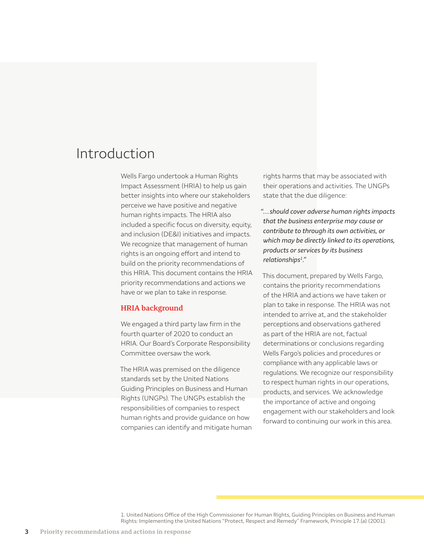# Introduction

Wells Fargo undertook a Human Rights Impact Assessment (HRIA) to help us gain better insights into where our stakeholders perceive we have positive and negative human rights impacts. The HRIA also included a specific focus on diversity, equity, and inclusion (DE&I) initiatives and impacts. We recognize that management of human rights is an ongoing effort and intend to build on the priority recommendations of this HRIA. This document contains the HRIA priority recommendations and actions we have or we plan to take in response.

# **HRIA background**

We engaged a third party law firm in the fourth quarter of 2020 to conduct an HRIA. Our Board's Corporate Responsibility Committee oversaw the work.

The HRIA was premised on the diligence standards set by the United Nations Guiding Principles on Business and Human Rights (UNGPs). The UNGPs establish the responsibilities of companies to respect human rights and provide guidance on how companies can identify and mitigate human rights harms that may be associated with their operations and activities. The UNGPs state that the due diligence:

*"…should cover adverse human rights impacts that the business enterprise may cause or contribute to through its own activities, or which may be directly linked to its operations, products or services by its business relationships1."* 

This document, prepared by Wells Fargo, contains the priority recommendations of the HRIA and actions we have taken or plan to take in response. The HRIA was not intended to arrive at, and the stakeholder perceptions and observations gathered as part of the HRIA are not, factual determinations or conclusions regarding Wells Fargo's policies and procedures or compliance with any applicable laws or regulations. We recognize our responsibility to respect human rights in our operations, products, and services. We acknowledge the importance of active and ongoing engagement with our stakeholders and look forward to continuing our work in this area.

1. United Nations Office of the High Commissioner for Human Rights, Guiding Principles on Business and Human Rights: Implementing the United Nations "Protect, Respect and Remedy" Framework, Principle 17.(a) (2001).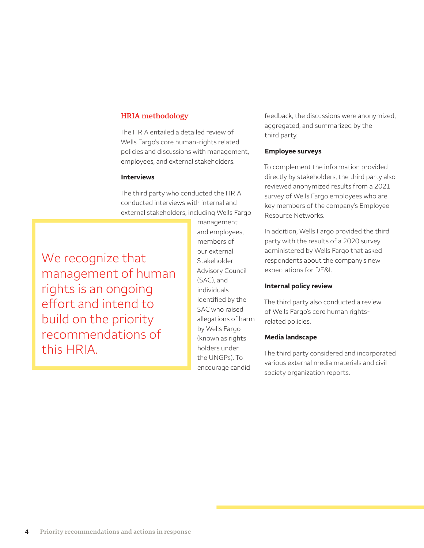# **HRIA methodology**

The HRIA entailed a detailed review of Wells Fargo's core human-rights related policies and discussions with management, employees, and external stakeholders.

### **Interviews**

The third party who conducted the HRIA conducted interviews with internal and external stakeholders, including Wells Fargo

We recognize that management of human rights is an ongoing efiort and intend to build on the priority recommendations of this HRIA.

management and employees, members of our external Stakeholder Advisory Council (SAC), and individuals identified by the SAC who raised allegations of harm by Wells Fargo (known as rights holders under the UNGPs). To encourage candid

feedback, the discussions were anonymized, aggregated, and summarized by the third party.

#### **Employee surveys**

To complement the information provided directly by stakeholders, the third party also reviewed anonymized results from a 2021 survey of Wells Fargo employees who are key members of the company's Employee Resource Networks.

In addition, Wells Fargo provided the third party with the results of a 2020 survey administered by Wells Fargo that asked respondents about the company's new expectations for DE&I.

#### **Internal policy review**

The third party also conducted a review of Wells Fargo's core human rightsrelated policies.

#### **Media landscape**

The third party considered and incorporated various external media materials and civil society organization reports.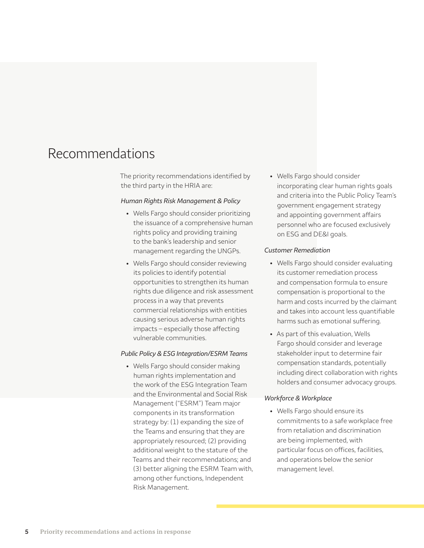# Recommendations

The priority recommendations identified by the third party in the HRIA are:

#### *Human Rights Risk Management & Policy*

- Wells Fargo should consider prioritizing the issuance of a comprehensive human rights policy and providing training to the bank's leadership and senior management regarding the UNGPs.
- Wells Fargo should consider reviewing its policies to identify potential opportunities to strengthen its human rights due diligence and risk assessment process in a way that prevents commercial relationships with entities causing serious adverse human rights impacts – especially those affecting vulnerable communities.

### *Public Policy & ESG Integration/ESRM Teams*

• Wells Fargo should consider making human rights implementation and the work of the ESG Integration Team and the Environmental and Social Risk Management ("ESRM") Team major components in its transformation strategy by: (1) expanding the size of the Teams and ensuring that they are appropriately resourced; (2) providing additional weight to the stature of the Teams and their recommendations; and (3) better aligning the ESRM Team with, among other functions, Independent Risk Management.

• Wells Fargo should consider incorporating clear human rights goals and criteria into the Public Policy Team's government engagement strategy and appointing government affairs personnel who are focused exclusively on ESG and DE&I goals.

#### *Customer Remediation*

- Wells Fargo should consider evaluating its customer remediation process and compensation formula to ensure compensation is proportional to the harm and costs incurred by the claimant and takes into account less quantifiable harms such as emotional suffering.
- As part of this evaluation, Wells Fargo should consider and leverage stakeholder input to determine fair compensation standards, potentially including direct collaboration with rights holders and consumer advocacy groups.

#### *Workforce & Workplace*

• Wells Fargo should ensure its commitments to a safe workplace free from retaliation and discrimination are being implemented, with particular focus on offices, facilities, and operations below the senior management level.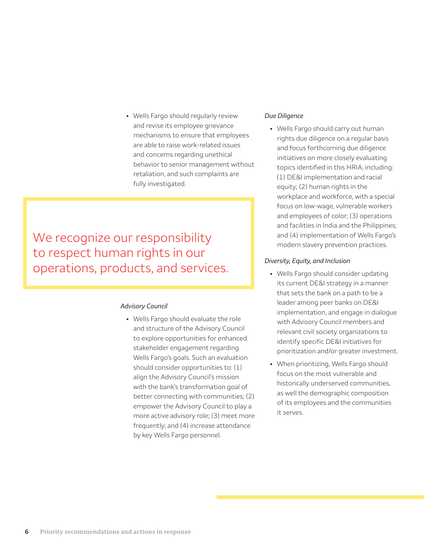• Wells Fargo should regularly review and revise its employee grievance mechanisms to ensure that employees are able to raise work-related issues and concerns regarding unethical behavior to senior management without retaliation, and such complaints are fully investigated.

We recognize our responsibility to respect human rights in our operations, products, and services.

### *Advisory Council*

• Wells Fargo should evaluate the role and structure of the Advisory Council to explore opportunities for enhanced stakeholder engagement regarding Wells Fargo's goals. Such an evaluation should consider opportunities to: (1) align the Advisory Council's mission with the bank's transformation goal of better connecting with communities; (2) empower the Advisory Council to play a more active advisory role; (3) meet more frequently; and (4) increase attendance by key Wells Fargo personnel.

# *Due Diligence*

• Wells Fargo should carry out human rights due diligence on a regular basis and focus forthcoming due diligence initiatives on more closely evaluating topics identified in this HRIA, including: (1) DE&I implementation and racial equity; (2) human rights in the workplace and workforce, with a special focus on low-wage, vulnerable workers and employees of color; (3) operations and facilities in India and the Philippines; and (4) implementation of Wells Fargo's modern slavery prevention practices.

# *Diversity, Equity, and Inclusion*

- Wells Fargo should consider updating its current DE&I strategy in a manner that sets the bank on a path to be a leader among peer banks on DE&I implementation, and engage in dialogue with Advisory Council members and relevant civil society organizations to identify specific DE&I initiatives for prioritization and/or greater investment.
- When prioritizing, Wells Fargo should focus on the most vulnerable and historically underserved communities, as well the demographic composition of its employees and the communities it serves.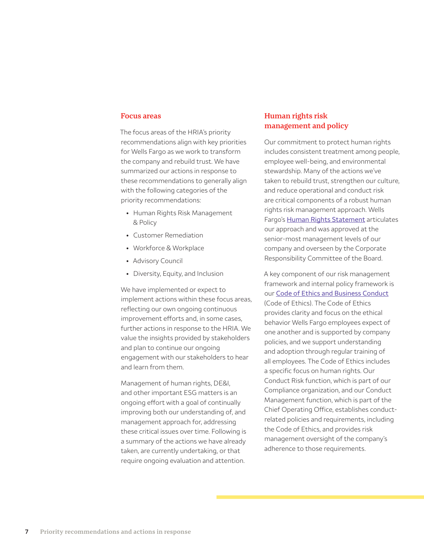# **Focus areas**

The focus areas of the HRIA's priority recommendations align with key priorities for Wells Fargo as we work to transform the company and rebuild trust. We have summarized our actions in response to these recommendations to generally align with the following categories of the priority recommendations:

- Human Rights Risk Management & Policy
- Customer Remediation
- Workforce & Workplace
- Advisory Council
- Diversity, Equity, and Inclusion

We have implemented or expect to implement actions within these focus areas, reflecting our own ongoing continuous improvement efforts and, in some cases, further actions in response to the HRIA. We value the insights provided by stakeholders and plan to continue our ongoing engagement with our stakeholders to hear and learn from them.

Management of human rights, DE&I, and other important ESG matters is an ongoing effort with a goal of continually improving both our understanding of, and management approach for, addressing these critical issues over time. Following is a summary of the actions we have already taken, are currently undertaking, or that require ongoing evaluation and attention.

# **Human rights risk management and policy**

Our commitment to protect human rights includes consistent treatment among people, employee well-being, and environmental stewardship. Many of the actions we've taken to rebuild trust, strengthen our culture, and reduce operational and conduct risk are critical components of a robust human rights risk management approach. Wells Fargo's [Human Rights Statement](https://www08.wellsfargomedia.com/assets/pdf/about/corporate-responsibility/human-rights-statement.pdf#:~:text=Human%20Rights%20Statement%20At%20Wells%20Fargo%2C%20our%20vision,the%20duty%20to%20protect%20human%20rights%2C%20and%20our) articulates our approach and was approved at the senior-most management levels of our company and overseen by the Corporate Responsibility Committee of the Board.

A key component of our risk management framework and internal policy framework is our [Code of Ethics and Business Conduct](https://www08.wellsfargomedia.com/assets/pdf/about/corporate/code-of-ethics.pdf) (Code of Ethics). The Code of Ethics provides clarity and focus on the ethical behavior Wells Fargo employees expect of one another and is supported by company policies, and we support understanding and adoption through regular training of all employees. The Code of Ethics includes a specific focus on human rights. Our Conduct Risk function, which is part of our Compliance organization, and our Conduct Management function, which is part of the Chief Operating Office, establishes conductrelated policies and requirements, including the Code of Ethics, and provides risk management oversight of the company's adherence to those requirements.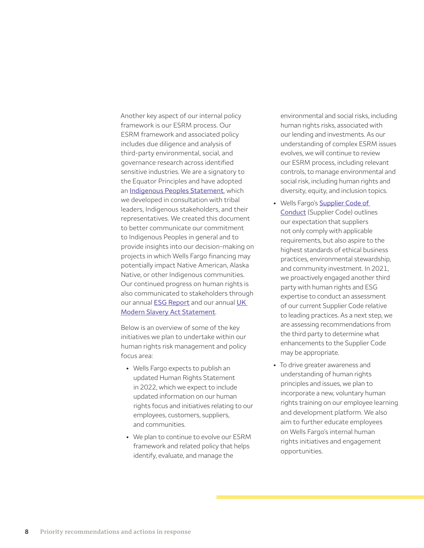Another key aspect of our internal policy framework is our ESRM process. Our ESRM framework and associated policy includes due diligence and analysis of third-party environmental, social, and governance research across identified sensitive industries. We are a signatory to the Equator Principles and have adopted an **[Indigenous Peoples Statement](https://www08.wellsfargomedia.com/assets/pdf/about/corporate-responsibility/indigenous-peoples-statement.pdf)**, which we developed in consultation with tribal leaders, Indigenous stakeholders, and their representatives. We created this document to better communicate our commitment to Indigenous Peoples in general and to provide insights into our decision-making on projects in which Wells Fargo financing may potentially impact Native American, Alaska Native, or other Indigenous communities. Our continued progress on human rights is also communicated to stakeholders through our annual **[ESG Report](https://www08.wellsfargomedia.com/assets/pdf/about/corporate-responsibility/environmental-social-governance-report.pdf)** and our annual UK [Modern Slavery Act Statement](https://www08.wellsfargomedia.com/assets/pdf/corporate/modern-slavery-statement.pdf).

Below is an overview of some of the key initiatives we plan to undertake within our human rights risk management and policy focus area:

- Wells Fargo expects to publish an updated Human Rights Statement in 2022, which we expect to include updated information on our human rights focus and initiatives relating to our employees, customers, suppliers, and communities.
- We plan to continue to evolve our ESRM framework and related policy that helps identify, evaluate, and manage the

environmental and social risks, including human rights risks, associated with our lending and investments. As our understanding of complex ESRM issues evolves, we will continue to review our ESRM process, including relevant controls, to manage environmental and social risk, including human rights and diversity, equity, and inclusion topics.

- Wells Fargo's Supplier Code of [Conduct](https://www08.wellsfargomedia.com/assets/pdf/about/corporate/supplier-code-of-conduct.pdf) (Supplier Code) outlines our expectation that suppliers not only comply with applicable requirements, but also aspire to the highest standards of ethical business practices, environmental stewardship, and community investment. In 2021, we proactively engaged another third party with human rights and ESG expertise to conduct an assessment of our current Supplier Code relative to leading practices. As a next step, we are assessing recommendations from the third party to determine what enhancements to the Supplier Code may be appropriate.
- To drive greater awareness and understanding of human rights principles and issues, we plan to incorporate a new, voluntary human rights training on our employee learning and development platform. We also aim to further educate employees on Wells Fargo's internal human rights initiatives and engagement opportunities.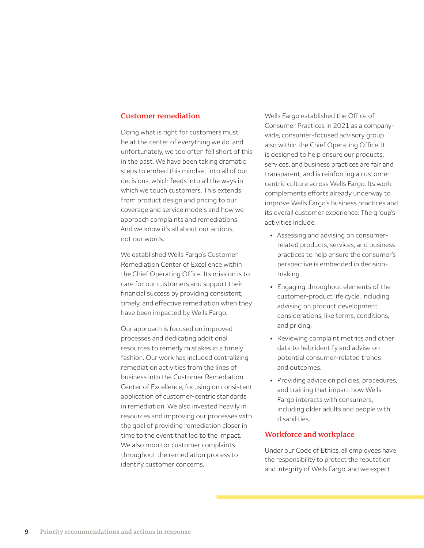# **Customer remediation**

Doing what is right for customers must be at the center of everything we do, and unfortunately, we too often fell short of this in the past. We have been taking dramatic steps to embed this mindset into all of our decisions, which feeds into all the ways in which we touch customers. This extends from product design and pricing to our coverage and service models and how we approach complaints and remediations. And we know it's all about our actions, not our words.

We established Wells Fargo's Customer Remediation Center of Excellence within the Chief Operating Office. Its mission is to care for our customers and support their financial success by providing consistent, timely, and effective remediation when they have been impacted by Wells Fargo.

Our approach is focused on improved processes and dedicating additional resources to remedy mistakes in a timely fashion. Our work has included centralizing remediation activities from the lines of business into the Customer Remediation Center of Excellence, focusing on consistent application of customer-centric standards in remediation. We also invested heavily in resources and improving our processes with the goal of providing remediation closer in time to the event that led to the impact. We also monitor customer complaints throughout the remediation process to identify customer concerns.

Wells Fargo established the Office of Consumer Practices in 2021 as a companywide, consumer-focused advisory group also within the Chief Operating Office. It is designed to help ensure our products, services, and business practices are fair and transparent, and is reinforcing a customercentric culture across Wells Fargo. Its work complements efforts already underway to improve Wells Fargo's business practices and its overall customer experience. The group's activities include:

- Assessing and advising on consumerrelated products, services, and business practices to help ensure the consumer's perspective is embedded in decisionmaking.
- Engaging throughout elements of the customer-product life cycle, including advising on product development considerations, like terms, conditions, and pricing.
- Reviewing complaint metrics and other data to help identify and advise on potential consumer-related trends and outcomes.
- Providing advice on policies, procedures, and training that impact how Wells Fargo interacts with consumers, including older adults and people with disabilities.

### **Workforce and workplace**

Under our Code of Ethics, all employees have the responsibility to protect the reputation and integrity of Wells Fargo, and we expect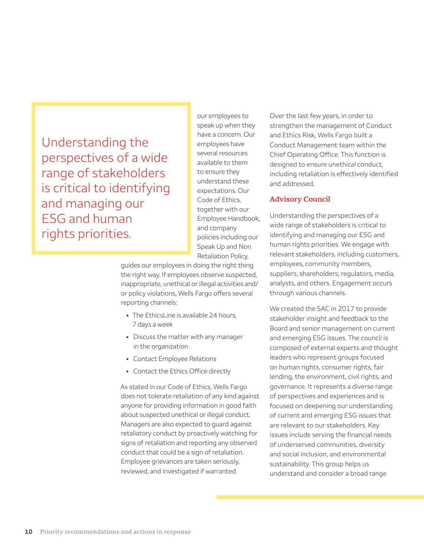Understanding the perspectives of a wide range of stakeholders is critical to identifying and managing our ESG and human rights priorities.

our employees to speak up when they have a concern. Our employees have several resources available to them to ensure they understand these expectations. Our Code of Ethics, together with our Employee Handbook, and company policies including our Speak Up and Non Retaliation Policy,

guides our employees in doing the right thing the right way. If employees observe suspected, inappropriate, unethical or illegal activities and/ or policy violations, Wells Fargo offers several reporting channels:

- The EthicsLine is available 24 hours, 7 days a week
- Discuss the matter with any manager in the organization
- Contact Employee Relations
- Contact the Ethics Office directly

As stated in our Code of Ethics, Wells Fargo does not tolerate retaliation of any kind against anyone for providing information in good faith about suspected unethical or illegal conduct. Managers are also expected to guard against retaliatory conduct by proactively watching for signs of retaliation and reporting any observed conduct that could be a sign of retaliation. Employee grievances are taken seriously, reviewed, and investigated if warranted.

Over the last few years, in order to strengthen the management of Conduct and Ethics Risk, Wells Fargo built a Conduct Management team within the Chief Operating Office. This function is designed to ensure unethical conduct, including retaliation is effectively identified and addressed.

# **Advisory Council**

Understanding the perspectives of a wide range of stakeholders is critical to identifying and managing our ESG and human rights priorities. We engage with relevant stakeholders, including customers, employees, community members, suppliers, shareholders, regulators, media, analysts, and others. Engagement occurs through various channels.

We created the SAC in 2017 to provide stakeholder insight and feedback to the Board and senior management on current and emerging ESG issues. The council is composed of external experts and thought leaders who represent groups focused on human rights, consumer rights, fair lending, the environment, civil rights, and governance. It represents a diverse range of perspectives and experiences and is focused on deepening our understanding of current and emerging ESG issues that are relevant to our stakeholders. Key issues include serving the financial needs of underserved communities, diversity and social inclusion, and environmental sustainability. This group helps us understand and consider a broad range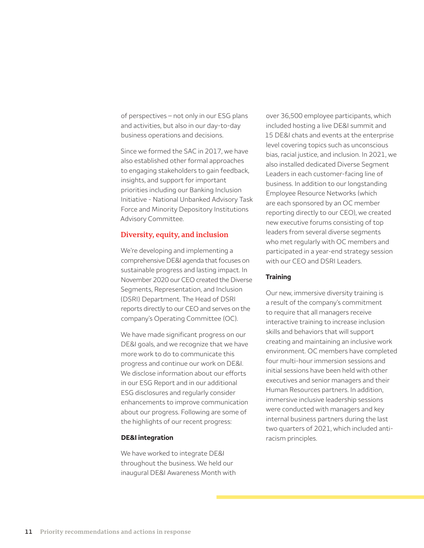of perspectives – not only in our ESG plans and activities, but also in our day-to-day business operations and decisions.

Since we formed the SAC in 2017, we have also established other formal approaches to engaging stakeholders to gain feedback, insights, and support for important priorities including our Banking Inclusion Initiative - National Unbanked Advisory Task Force and Minority Depository Institutions Advisory Committee.

# **Diversity, equity, and inclusion**

We're developing and implementing a comprehensive DE&I agenda that focuses on sustainable progress and lasting impact. In November 2020 our CEO created the Diverse Segments, Representation, and Inclusion (DSRI) Department. The Head of DSRI reports directly to our CEO and serves on the company's Operating Committee (OC).

We have made significant progress on our DE&I goals, and we recognize that we have more work to do to communicate this progress and continue our work on DE&I. We disclose information about our efforts in our ESG Report and in our additional ESG disclosures and regularly consider enhancements to improve communication about our progress. Following are some of the highlights of our recent progress:

## **DE&I integration**

We have worked to integrate DE&I throughout the business. We held our inaugural DE&I Awareness Month with over 36,500 employee participants, which included hosting a live DE&I summit and 15 DE&I chats and events at the enterprise level covering topics such as unconscious bias, racial justice, and inclusion. In 2021, we also installed dedicated Diverse Segment Leaders in each customer-facing line of business. In addition to our longstanding Employee Resource Networks (which are each sponsored by an OC member reporting directly to our CEO), we created new executive forums consisting of top leaders from several diverse segments who met regularly with OC members and participated in a year-end strategy session with our CEO and DSRI Leaders.

# **Training**

Our new, immersive diversity training is a result of the company's commitment to require that all managers receive interactive training to increase inclusion skills and behaviors that will support creating and maintaining an inclusive work environment. OC members have completed four multi-hour immersion sessions and initial sessions have been held with other executives and senior managers and their Human Resources partners. In addition, immersive inclusive leadership sessions were conducted with managers and key internal business partners during the last two quarters of 2021, which included antiracism principles.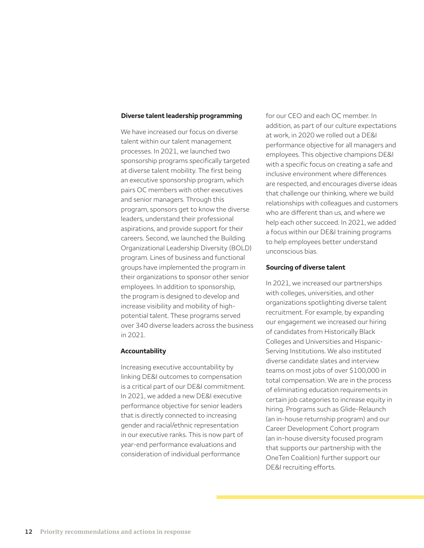#### **Diverse talent leadership programming**

We have increased our focus on diverse talent within our talent management processes. In 2021, we launched two sponsorship programs specifically targeted at diverse talent mobility. The first being an executive sponsorship program, which pairs OC members with other executives and senior managers. Through this program, sponsors get to know the diverse leaders, understand their professional aspirations, and provide support for their careers. Second, we launched the Building Organizational Leadership Diversity (BOLD) program. Lines of business and functional groups have implemented the program in their organizations to sponsor other senior employees. In addition to sponsorship, the program is designed to develop and increase visibility and mobility of highpotential talent. These programs served over 340 diverse leaders across the business in 2021.

### **Accountability**

Increasing executive accountability by linking DE&I outcomes to compensation is a critical part of our DE&I commitment. In 2021, we added a new DE&I executive performance objective for senior leaders that is directly connected to increasing gender and racial/ethnic representation in our executive ranks. This is now part of year-end performance evaluations and consideration of individual performance

for our CEO and each OC member. In addition, as part of our culture expectations at work, in 2020 we rolled out a DE&I performance objective for all managers and employees. This objective champions DE&I with a specific focus on creating a safe and inclusive environment where differences are respected, and encourages diverse ideas that challenge our thinking, where we build relationships with colleagues and customers who are different than us, and where we help each other succeed. In 2021, we added a focus within our DE&I training programs to help employees better understand unconscious bias.

#### **Sourcing of diverse talent**

In 2021, we increased our partnerships with colleges, universities, and other organizations spotlighting diverse talent recruitment. For example, by expanding our engagement we increased our hiring of candidates from Historically Black Colleges and Universities and Hispanic-Serving Institutions. We also instituted diverse candidate slates and interview teams on most jobs of over \$100,000 in total compensation. We are in the process of eliminating education requirements in certain job categories to increase equity in hiring. Programs such as Glide-Relaunch (an in-house returnship program) and our Career Development Cohort program (an in-house diversity focused program that supports our partnership with the OneTen Coalition) further support our DE&I recruiting efforts.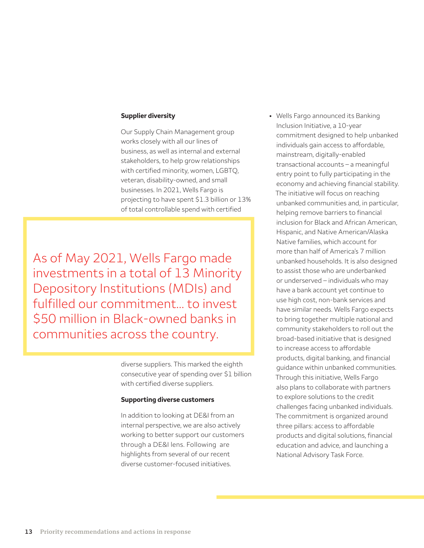#### **Supplier diversity**

Our Supply Chain Management group works closely with all our lines of business, as well as internal and external stakeholders, to help grow relationships with certified minority, women, LGBTQ, veteran, disability-owned, and small businesses. In 2021, Wells Fargo is projecting to have spent \$1.3 billion or 13% of total controllable spend with certified

As of May 2021, Wells Fargo made investments in a total of 13 Minority Depository Institutions (MDIs) and fulfilled our commitment... to invest \$50 million in Black-owned banks in communities across the country.

> diverse suppliers. This marked the eighth consecutive year of spending over \$1 billion with certified diverse suppliers.

#### **Supporting diverse customers**

In addition to looking at DE&I from an internal perspective, we are also actively working to better support our customers through a DE&I lens. Following are highlights from several of our recent diverse customer-focused initiatives.

• Wells Fargo announced its Banking Inclusion Initiative, a 10-year commitment designed to help unbanked individuals gain access to affordable, mainstream, digitally-enabled transactional accounts – a meaningful entry point to fully participating in the economy and achieving financial stability. The initiative will focus on reaching unbanked communities and, in particular, helping remove barriers to financial inclusion for Black and African American, Hispanic, and Native American/Alaska Native families, which account for more than half of America's 7 million unbanked households. It is also designed to assist those who are underbanked or underserved – individuals who may have a bank account yet continue to use high cost, non-bank services and have similar needs. Wells Fargo expects to bring together multiple national and community stakeholders to roll out the broad-based initiative that is designed to increase access to affordable products, digital banking, and financial guidance within unbanked communities. Through this initiative, Wells Fargo also plans to collaborate with partners to explore solutions to the credit challenges facing unbanked individuals. The commitment is organized around three pillars: access to affordable products and digital solutions, financial education and advice, and launching a National Advisory Task Force.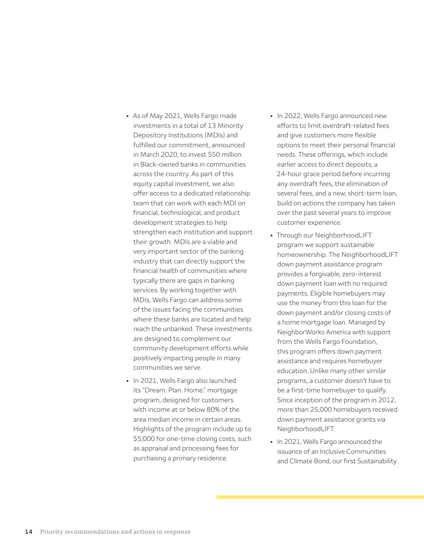- As of May 2021, Wells Fargo made investments in a total of 13 Minority Depository Institutions (MDIs) and fulfilled our commitment, announced in March 2020, to invest \$50 million in Black-owned banks in communities across the country. As part of this equity capital investment, we also offer access to a dedicated relationship team that can work with each MDI on financial, technological, and product development strategies to help strengthen each institution and support their growth. MDIs are a viable and very important sector of the banking industry that can directly support the financial health of communities where typically there are gaps in banking services. By working together with MDIs, Wells Fargo can address some of the issues facing the communities where these banks are located and help reach the unbanked. These investments are designed to complement our community development efforts while positively impacting people in many communities we serve.
- In 2021, Wells Fargo also launched its "Dream. Plan. Home." mortgage program, designed for customers with income at or below 80% of the area median income in certain areas. Highlights of the program include up to \$5,000 for one-time closing costs, such as appraisal and processing fees for purchasing a primary residence.
- In 2022, Wells Fargo announced new efforts to limit overdraft-related fees and give customers more flexible options to meet their personal financial needs. These offerings, which include earlier access to direct deposits, a 24-hour grace period before incurring any overdraft fees, the elimination of several fees, and a new, short-term loan, build on actions the company has taken over the past several years to improve customer experience.
- Through our NeighborhoodLIFT program we support sustainable homeownership. The NeighborhoodLIFT down payment assistance program provides a forgivable, zero-interest down payment loan with no required payments. Eligible homebuyers may use the money from this loan for the down payment and/or closing costs of a home mortgage loan. Managed by NeighborWorks America with support from the Wells Fargo Foundation, this program offers down payment assistance and requires homebuyer education. Unlike many other similar programs, a customer doesn't have to be a first-time homebuyer to qualify. Since inception of the program in 2012, more than 25,000 homebuyers received down payment assistance grants via NeighborhoodLIFT.
- In 2021, Wells Fargo announced the issuance of an Inclusive Communities and Climate Bond, our first Sustainability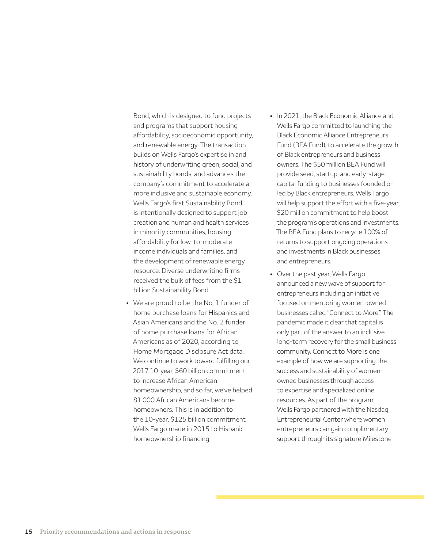Bond, which is designed to fund projects and programs that support housing affordability, socioeconomic opportunity, and renewable energy. The transaction builds on Wells Fargo's expertise in and history of underwriting green, social, and sustainability bonds, and advances the company's commitment to accelerate a more inclusive and sustainable economy. Wells Fargo's first Sustainability Bond is intentionally designed to support job creation and human and health services in minority communities, housing affordability for low-to-moderate income individuals and families, and the development of renewable energy resource. Diverse underwriting firms received the bulk of fees from the \$1 billion Sustainability Bond.

- We are proud to be the No. 1 funder of home purchase loans for Hispanics and Asian Americans and the No. 2 funder of home purchase loans for African Americans as of 2020, according to Home Mortgage Disclosure Act data. We continue to work toward fulfilling our 2017 10-year, \$60 billion commitment to increase African American homeownership, and so far, we've helped 81,000 African Americans become homeowners. This is in addition to the 10-year, \$125 billion commitment Wells Fargo made in 2015 to Hispanic homeownership financing.
- In 2021, the Black Economic Alliance and Wells Fargo committed to launching the Black Economic Alliance Entrepreneurs Fund (BEA Fund), to accelerate the growth of Black entrepreneurs and business owners. The \$50 million BEA Fund will provide seed, startup, and early-stage capital funding to businesses founded or led by Black entrepreneurs. Wells Fargo will help support the effort with a five-year, \$20 million commitment to help boost the program's operations and investments. The BEA Fund plans to recycle 100% of returns to support ongoing operations and investments in Black businesses and entrepreneurs.
- Over the past year, Wells Fargo announced a new wave of support for entrepreneurs including an initiative focused on mentoring women-owned businesses called "Connect to More." The pandemic made it clear that capital is only part of the answer to an inclusive long-term recovery for the small business community. Connect to More is one example of how we are supporting the success and sustainability of womenowned businesses through access to expertise and specialized online resources. As part of the program, Wells Fargo partnered with the Nasdaq Entrepreneurial Center where women entrepreneurs can gain complimentary support through its signature Milestone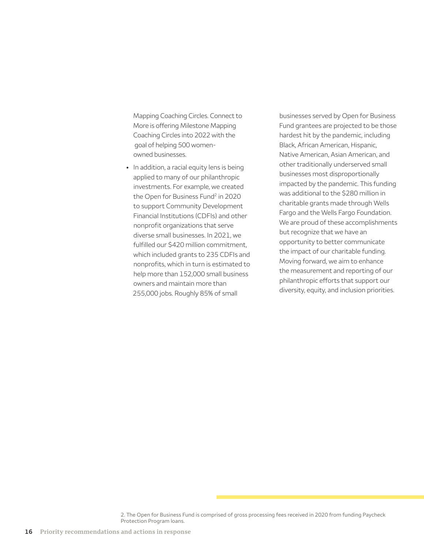Mapping Coaching Circles. Connect to More is offering Milestone Mapping Coaching Circles into 2022 with the goal of helping 500 womenowned businesses.

• In addition, a racial equity lens is being applied to many of our philanthropic investments. For example, we created the Open for Business Fund<sup>2</sup> in 2020 to support Community Development Financial Institutions (CDFIs) and other nonprofit organizations that serve diverse small businesses. In 2021, we fulfilled our \$420 million commitment, which included grants to 235 CDFIs and nonprofits, which in turn is estimated to help more than 152,000 small business owners and maintain more than 255,000 jobs. Roughly 85% of small

businesses served by Open for Business Fund grantees are projected to be those hardest hit by the pandemic, including Black, African American, Hispanic, Native American, Asian American, and other traditionally underserved small businesses most disproportionally impacted by the pandemic. This funding was additional to the \$280 million in charitable grants made through Wells Fargo and the Wells Fargo Foundation. We are proud of these accomplishments but recognize that we have an opportunity to better communicate the impact of our charitable funding. Moving forward, we aim to enhance the measurement and reporting of our philanthropic efforts that support our diversity, equity, and inclusion priorities.

<sup>2.</sup> The Open for Business Fund is comprised of gross processing fees received in 2020 from funding Paycheck Protection Program loans.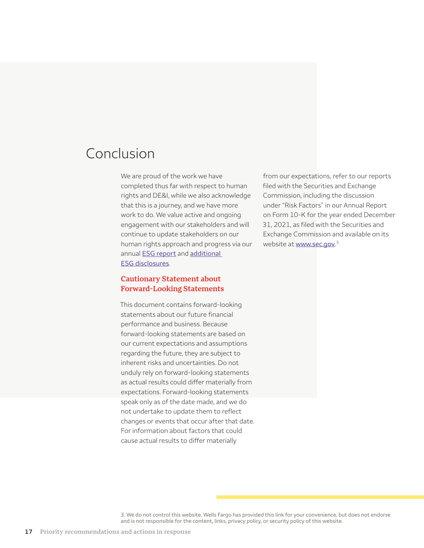# Conclusion

We are proud of the work we have completed thus far with respect to human rights and DE&I, while we also acknowledge that this is a journey, and we have more work to do. We value active and ongoing engagement with our stakeholders and will continue to update stakeholders on our human rights approach and progress via our annual [ESG report](https://www08.wellsfargomedia.com/assets/pdf/about/corporate-responsibility/environmental-social-governance-report.pdf) and [additional](https://www.wellsfargo.com/about/corporate-responsibility/goals-and-reporting/)  [ESG disclosures](https://www.wellsfargo.com/about/corporate-responsibility/goals-and-reporting/).

# **Cautionary Statement about Forward-Looking Statements**

This document contains forward-looking statements about our future financial performance and business. Because forward-looking statements are based on our current expectations and assumptions regarding the future, they are subject to inherent risks and uncertainties. Do not unduly rely on forward-looking statements as actual results could differ materially from expectations. Forward-looking statements speak only as of the date made, and we do not undertake to update them to reflect changes or events that occur after that date. For information about factors that could cause actual results to differ materially

from our expectations, refer to our reports filed with the Securities and Exchange Commission, including the discussion under "Risk Factors" in our Annual Report on Form 10-K for the year ended December 31, 2021, as filed with the Securities and Exchange Commission and available on its website at <u>[www.sec.gov](https://www.sec.gov/)</u>.<sup>3</sup>

<sup>3.</sup> We do not control this website. Wells Fargo has provided this link for your convenience, but does not endorse and is not responsible for the content, links, privacy policy, or security policy of this website.